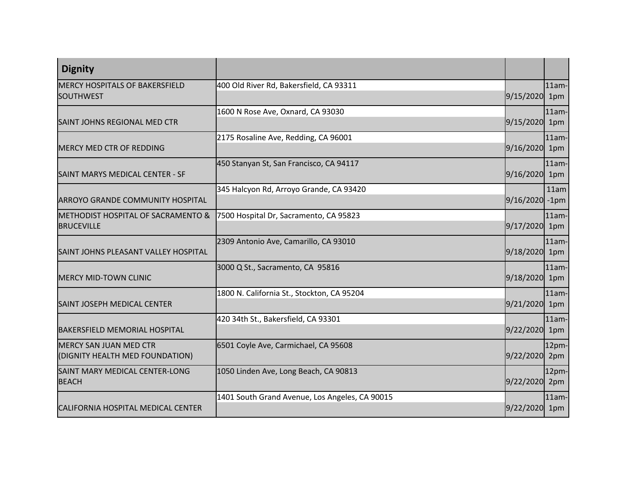| <b>Dignity</b>                                                     |                                                |                |                 |
|--------------------------------------------------------------------|------------------------------------------------|----------------|-----------------|
| <b>MERCY HOSPITALS OF BAKERSFIELD</b><br><b>SOUTHWEST</b>          | 400 Old River Rd, Bakersfield, CA 93311        | 9/15/2020      | $11am -$<br>1pm |
| SAINT JOHNS REGIONAL MED CTR                                       | 1600 N Rose Ave, Oxnard, CA 93030              | 9/15/2020 1pm  | $11am -$        |
| <b>MERCY MED CTR OF REDDING</b>                                    | 2175 Rosaline Ave, Redding, CA 96001           | 9/16/2020 1pm  | $11am -$        |
| SAINT MARYS MEDICAL CENTER - SF                                    | 450 Stanyan St, San Francisco, CA 94117        | 9/16/2020 1pm  | $11am -$        |
| ARROYO GRANDE COMMUNITY HOSPITAL                                   | 345 Halcyon Rd, Arroyo Grande, CA 93420        | 9/16/2020 -1pm | 11am            |
| <b>METHODIST HOSPITAL OF SACRAMENTO &amp;</b><br><b>BRUCEVILLE</b> | 7500 Hospital Dr, Sacramento, CA 95823         | 9/17/2020 1pm  | $11am -$        |
| SAINT JOHNS PLEASANT VALLEY HOSPITAL                               | 2309 Antonio Ave, Camarillo, CA 93010          | 9/18/2020 1pm  | $11am -$        |
| <b>MERCY MID-TOWN CLINIC</b>                                       | 3000 Q St., Sacramento, CA 95816               | 9/18/2020 1pm  | $11am -$        |
| SAINT JOSEPH MEDICAL CENTER                                        | 1800 N. California St., Stockton, CA 95204     | 9/21/2020 1pm  | $11am -$        |
| <b>BAKERSFIELD MEMORIAL HOSPITAL</b>                               | 420 34th St., Bakersfield, CA 93301            | 9/22/2020 1pm  | $11am -$        |
| <b>MERCY SAN JUAN MED CTR</b><br>(DIGNITY HEALTH MED FOUNDATION)   | 6501 Coyle Ave, Carmichael, CA 95608           | 9/22/2020      | 12pm-<br>2pm    |
| SAINT MARY MEDICAL CENTER-LONG<br><b>BEACH</b>                     | 1050 Linden Ave, Long Beach, CA 90813          | 9/22/2020 2pm  | 12pm-           |
| CALIFORNIA HOSPITAL MEDICAL CENTER                                 | 1401 South Grand Avenue, Los Angeles, CA 90015 | 9/22/2020 1pm  | $11am -$        |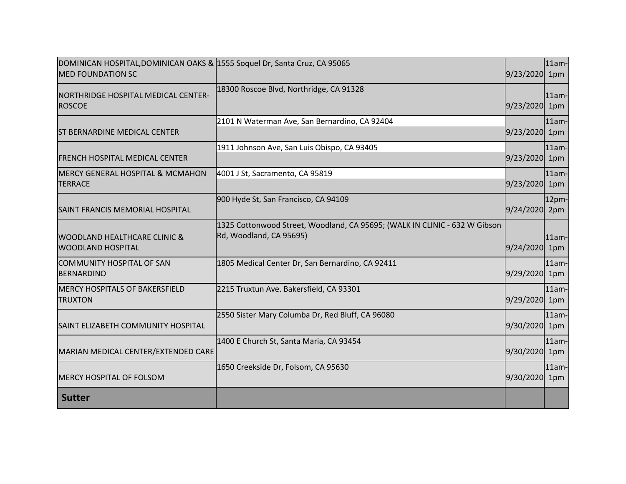| DOMINICAN HOSPITAL, DOMINICAN OAKS & 1555 Soquel Dr, Santa Cruz, CA 95065<br><b>MED FOUNDATION SC</b> |                                                                                                       | 9/23/2020 1pm | 11am-           |
|-------------------------------------------------------------------------------------------------------|-------------------------------------------------------------------------------------------------------|---------------|-----------------|
| NORTHRIDGE HOSPITAL MEDICAL CENTER-<br><b>ROSCOE</b>                                                  | 18300 Roscoe Blvd, Northridge, CA 91328                                                               | 9/23/2020 1pm | $11am -$        |
| <b>ST BERNARDINE MEDICAL CENTER</b>                                                                   | 2101 N Waterman Ave, San Bernardino, CA 92404                                                         | 9/23/2020     | $11am -$<br>1pm |
| <b>FRENCH HOSPITAL MEDICAL CENTER</b>                                                                 | 1911 Johnson Ave, San Luis Obispo, CA 93405                                                           | 9/23/2020 1pm | $11am -$        |
| <b>MERCY GENERAL HOSPITAL &amp; MCMAHON</b><br><b>TERRACE</b>                                         | 4001 J St, Sacramento, CA 95819                                                                       | 9/23/2020 1pm | $11am -$        |
| SAINT FRANCIS MEMORIAL HOSPITAL                                                                       | 900 Hyde St, San Francisco, CA 94109                                                                  | 9/24/2020 2pm | 12pm-           |
| WOODLAND HEALTHCARE CLINIC &<br><b>WOODLAND HOSPITAL</b>                                              | 1325 Cottonwood Street, Woodland, CA 95695; (WALK IN CLINIC - 632 W Gibson<br>Rd, Woodland, CA 95695) | 9/24/2020 1pm | $11am -$        |
| <b>COMMUNITY HOSPITAL OF SAN</b><br><b>BERNARDINO</b>                                                 | 1805 Medical Center Dr, San Bernardino, CA 92411                                                      | 9/29/2020     | $11am -$<br>1pm |
| <b>MERCY HOSPITALS OF BAKERSFIELD</b><br><b>TRUXTON</b>                                               | 2215 Truxtun Ave. Bakersfield, CA 93301                                                               | 9/29/2020 1pm | $11am -$        |
| SAINT ELIZABETH COMMUNITY HOSPITAL                                                                    | 2550 Sister Mary Columba Dr, Red Bluff, CA 96080                                                      | 9/30/2020 1pm | $11am -$        |
| MARIAN MEDICAL CENTER/EXTENDED CARE                                                                   | 1400 E Church St, Santa Maria, CA 93454                                                               | 9/30/2020 1pm | $11am -$        |
| <b>MERCY HOSPITAL OF FOLSOM</b>                                                                       | 1650 Creekside Dr, Folsom, CA 95630                                                                   | 9/30/2020 1pm | $11am-$         |
| <b>Sutter</b>                                                                                         |                                                                                                       |               |                 |